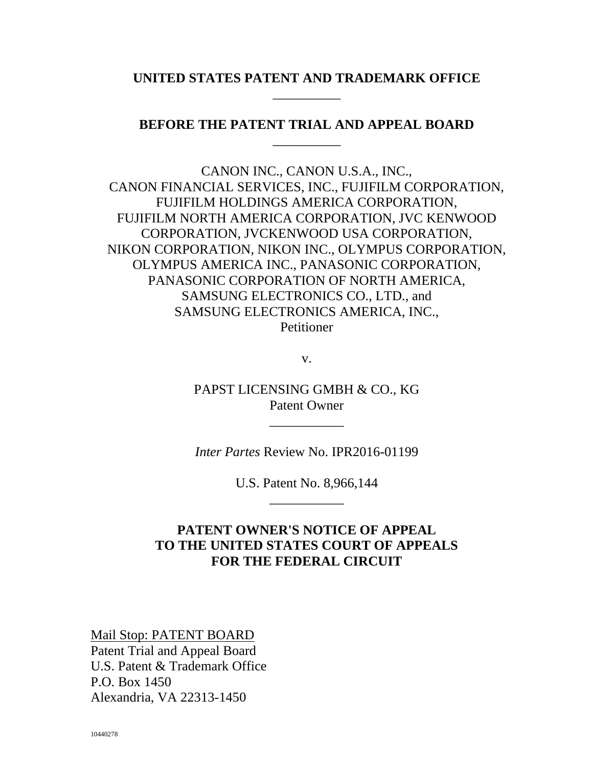## **UNITED STATES PATENT AND TRADEMARK OFFICE** \_\_\_\_\_\_\_\_\_\_

## **BEFORE THE PATENT TRIAL AND APPEAL BOARD** \_\_\_\_\_\_\_\_\_\_

CANON INC., CANON U.S.A., INC., CANON FINANCIAL SERVICES, INC., FUJIFILM CORPORATION, FUJIFILM HOLDINGS AMERICA CORPORATION, FUJIFILM NORTH AMERICA CORPORATION, JVC KENWOOD CORPORATION, JVCKENWOOD USA CORPORATION, NIKON CORPORATION, NIKON INC., OLYMPUS CORPORATION, OLYMPUS AMERICA INC., PANASONIC CORPORATION, PANASONIC CORPORATION OF NORTH AMERICA, SAMSUNG ELECTRONICS CO., LTD., and SAMSUNG ELECTRONICS AMERICA, INC., Petitioner

v.

PAPST LICENSING GMBH & CO., KG Patent Owner

\_\_\_\_\_\_\_\_\_\_\_

*Inter Partes* Review No. IPR2016-01199

U.S. Patent No. 8,966,144 \_\_\_\_\_\_\_\_\_\_\_

## **PATENT OWNER'S NOTICE OF APPEAL TO THE UNITED STATES COURT OF APPEALS FOR THE FEDERAL CIRCUIT**

Mail Stop: PATENT BOARD Patent Trial and Appeal Board U.S. Patent & Trademark Office P.O. Box 1450 Alexandria, VA 22313-1450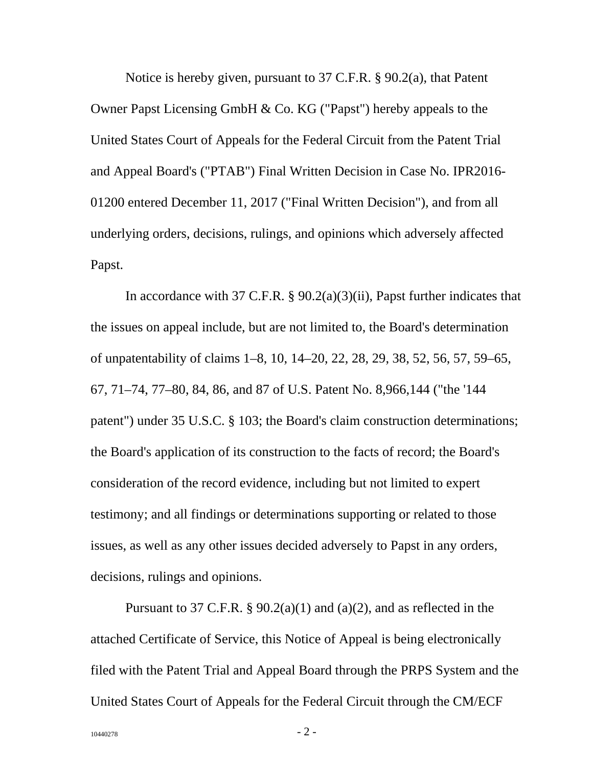Notice is hereby given, pursuant to 37 C.F.R. § 90.2(a), that Patent Owner Papst Licensing GmbH & Co. KG ("Papst") hereby appeals to the United States Court of Appeals for the Federal Circuit from the Patent Trial and Appeal Board's ("PTAB") Final Written Decision in Case No. IPR2016- 01200 entered December 11, 2017 ("Final Written Decision"), and from all underlying orders, decisions, rulings, and opinions which adversely affected Papst.

In accordance with 37 C.F.R. § 90.2(a)(3)(ii), Papst further indicates that the issues on appeal include, but are not limited to, the Board's determination of unpatentability of claims 1–8, 10, 14–20, 22, 28, 29, 38, 52, 56, 57, 59–65, 67, 71–74, 77–80, 84, 86, and 87 of U.S. Patent No. 8,966,144 ("the '144 patent") under 35 U.S.C. § 103; the Board's claim construction determinations; the Board's application of its construction to the facts of record; the Board's consideration of the record evidence, including but not limited to expert testimony; and all findings or determinations supporting or related to those issues, as well as any other issues decided adversely to Papst in any orders, decisions, rulings and opinions.

Pursuant to 37 C.F.R. §  $90.2(a)(1)$  and  $(a)(2)$ , and as reflected in the attached Certificate of Service, this Notice of Appeal is being electronically filed with the Patent Trial and Appeal Board through the PRPS System and the United States Court of Appeals for the Federal Circuit through the CM/ECF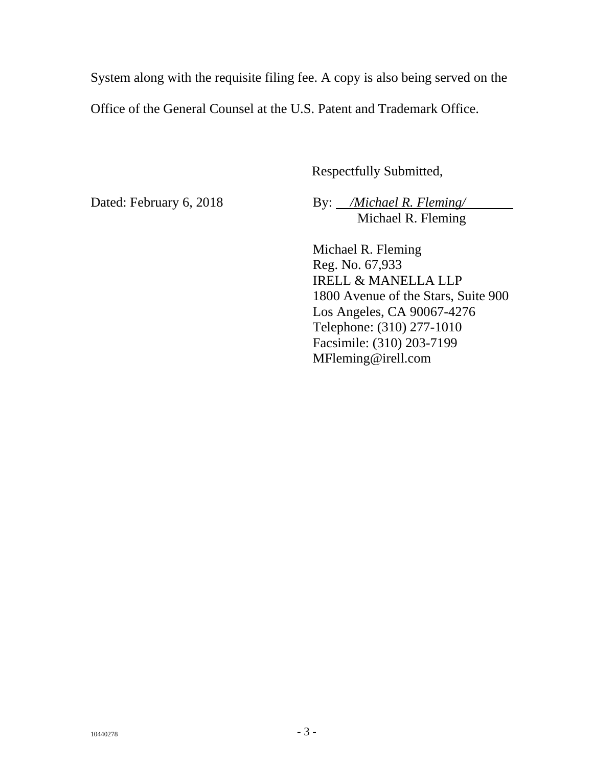System along with the requisite filing fee. A copy is also being served on the Office of the General Counsel at the U.S. Patent and Trademark Office.

Respectfully Submitted,

Dated: February 6, 2018

By: */Michael R. Fleming/* Michael R. Fleming

Michael R. Fleming Reg. No. 67,933 IRELL & MANELLA LLP 1800 Avenue of the Stars, Suite 900 Los Angeles, CA 90067-4276 Telephone: (310) 277-1010 Facsimile: (310) 203-7199 MFleming@irell.com